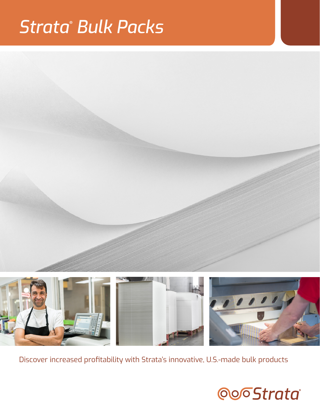# *Strata* **®**  *Bulk Packs*





Discover increased profitability with Strata's innovative, U.S.-made bulk products